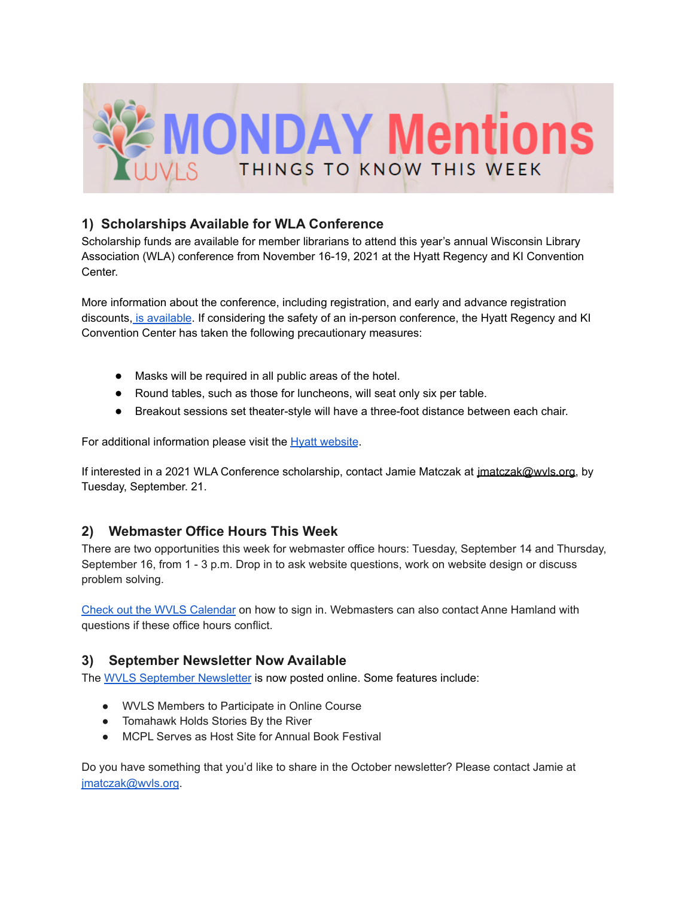

# **1) Scholarships Available for WLA Conference**

Scholarship funds are available for member librarians to attend this year's annual Wisconsin Library Association (WLA) conference from November 16-19, 2021 at the Hyatt Regency and KI Convention Center.

More information about the conference, including registration, and early and advance registration discounts, is [available](https://wla.memberclicks.net/wla-annual-conference.). If considering the safety of an in-person conference, the Hyatt Regency and KI Convention Center has taken the following precautionary measures:

- Masks will be required in all public areas of the hotel.
- Round tables, such as those for luncheons, will seat only six per table.
- Breakout sessions set theater-style will have a three-foot distance between each chair.

For additional information please visit the **Hyatt [website](https://www.hyatt.com/info/care-and-cleanliness-americas.)**.

If interested in a 2021 WLA Conference scholarship, contact Jamie Matczak at *jmatczak@wvls.org*, by Tuesday, September. 21.

## **2) Webmaster Office Hours This Week**

There are two opportunities this week for webmaster office hours: Tuesday, September 14 and Thursday, September 16, from 1 - 3 p.m. Drop in to ask website questions, work on website design or discuss problem solving.

Check out the WVLS [Calendar](https://wvls.org/calendar-2/) on how to sign in. Webmasters can also contact Anne Hamland with questions if these office hours conflict.

## **3) September Newsletter Now Available**

The WVLS [September](https://mailchi.mp/124d989775f3/wvls-september21-newsletter-5216929) Newsletter is now posted online. Some features include:

- WVLS Members to Participate in Online Course
- Tomahawk Holds Stories By the River
- MCPL Serves as Host Site for Annual Book Festival

Do you have something that you'd like to share in the October newsletter? Please contact Jamie at [jmatczak@wvls.org](mailto:jmatczak@wvls.org).